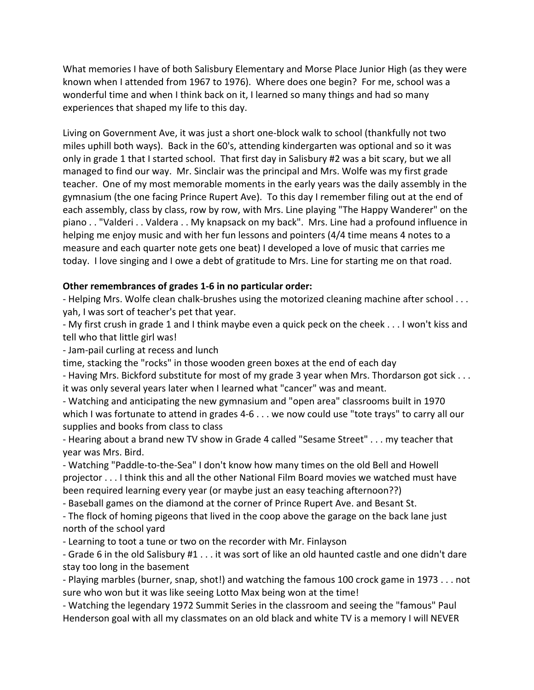What memories I have of both Salisbury Elementary and Morse Place Junior High (as they were known when I attended from 1967 to 1976). Where does one begin? For me, school was a wonderful time and when I think back on it, I learned so many things and had so many experiences that shaped my life to this day.

Living on Government Ave, it was just a short one-block walk to school (thankfully not two miles uphill both ways). Back in the 60's, attending kindergarten was optional and so it was only in grade 1 that I started school. That first day in Salisbury #2 was a bit scary, but we all managed to find our way. Mr. Sinclair was the principal and Mrs. Wolfe was my first grade teacher. One of my most memorable moments in the early years was the daily assembly in the gymnasium (the one facing Prince Rupert Ave). To this day I remember filing out at the end of each assembly, class by class, row by row, with Mrs. Line playing "The Happy Wanderer" on the piano . . "Valderi . . Valdera . . My knapsack on my back". Mrs. Line had a profound influence in helping me enjoy music and with her fun lessons and pointers (4/4 time means 4 notes to a measure and each quarter note gets one beat) I developed a love of music that carries me today. I love singing and I owe a debt of gratitude to Mrs. Line for starting me on that road.

## **Other remembrances of grades 1-6 in no particular order:**

- Helping Mrs. Wolfe clean chalk-brushes using the motorized cleaning machine after school . . . yah, I was sort of teacher's pet that year.

- My first crush in grade 1 and I think maybe even a quick peck on the cheek . . . I won't kiss and tell who that little girl was!

- Jam-pail curling at recess and lunch

time, stacking the "rocks" in those wooden green boxes at the end of each day

- Having Mrs. Bickford substitute for most of my grade 3 year when Mrs. Thordarson got sick . . . it was only several years later when I learned what "cancer" was and meant.

- Watching and anticipating the new gymnasium and "open area" classrooms built in 1970 which I was fortunate to attend in grades 4-6 . . . we now could use "tote trays" to carry all our supplies and books from class to class

- Hearing about a brand new TV show in Grade 4 called "Sesame Street" . . . my teacher that year was Mrs. Bird.

- Watching "Paddle-to-the-Sea" I don't know how many times on the old Bell and Howell projector . . . I think this and all the other National Film Board movies we watched must have been required learning every year (or maybe just an easy teaching afternoon??)

- Baseball games on the diamond at the corner of Prince Rupert Ave. and Besant St.

- The flock of homing pigeons that lived in the coop above the garage on the back lane just north of the school yard

- Learning to toot a tune or two on the recorder with Mr. Finlayson

- Grade 6 in the old Salisbury #1 . . . it was sort of like an old haunted castle and one didn't dare stay too long in the basement

- Playing marbles (burner, snap, shot!) and watching the famous 100 crock game in 1973 . . . not sure who won but it was like seeing Lotto Max being won at the time!

- Watching the legendary 1972 Summit Series in the classroom and seeing the "famous" Paul Henderson goal with all my classmates on an old black and white TV is a memory I will NEVER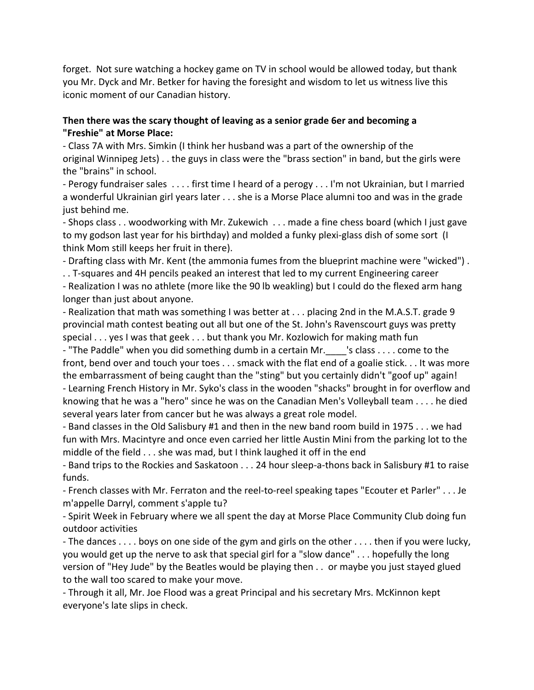forget. Not sure watching a hockey game on TV in school would be allowed today, but thank you Mr. Dyck and Mr. Betker for having the foresight and wisdom to let us witness live this iconic moment of our Canadian history.

## **Then there was the scary thought of leaving as a senior grade 6er and becoming a "Freshie" at Morse Place:**

- Class 7A with Mrs. Simkin (I think her husband was a part of the ownership of the original Winnipeg Jets) . . the guys in class were the "brass section" in band, but the girls were the "brains" in school.

- Perogy fundraiser sales . . . . first time I heard of a perogy . . . I'm not Ukrainian, but I married a wonderful Ukrainian girl years later . . . she is a Morse Place alumni too and was in the grade just behind me.

- Shops class . . woodworking with Mr. Zukewich . . . made a fine chess board (which I just gave to my godson last year for his birthday) and molded a funky plexi-glass dish of some sort (I think Mom still keeps her fruit in there).

- Drafting class with Mr. Kent (the ammonia fumes from the blueprint machine were "wicked") .

. . T-squares and 4H pencils peaked an interest that led to my current Engineering career

- Realization I was no athlete (more like the 90 lb weakling) but I could do the flexed arm hang longer than just about anyone.

- Realization that math was something I was better at . . . placing 2nd in the M.A.S.T. grade 9 provincial math contest beating out all but one of the St. John's Ravenscourt guys was pretty special . . . yes I was that geek . . . but thank you Mr. Kozlowich for making math fun

- "The Paddle" when you did something dumb in a certain Mr. Sclass . . . . come to the front, bend over and touch your toes . . . smack with the flat end of a goalie stick. . . It was more the embarrassment of being caught than the "sting" but you certainly didn't "goof up" again! - Learning French History in Mr. Syko's class in the wooden "shacks" brought in for overflow and knowing that he was a "hero" since he was on the Canadian Men's Volleyball team . . . . he died several years later from cancer but he was always a great role model.

- Band classes in the Old Salisbury #1 and then in the new band room build in 1975 . . . we had fun with Mrs. Macintyre and once even carried her little Austin Mini from the parking lot to the middle of the field . . . she was mad, but I think laughed it off in the end

- Band trips to the Rockies and Saskatoon . . . 24 hour sleep-a-thons back in Salisbury #1 to raise funds.

- French classes with Mr. Ferraton and the reel-to-reel speaking tapes "Ecouter et Parler" . . . Je m'appelle Darryl, comment s'apple tu?

- Spirit Week in February where we all spent the day at Morse Place Community Club doing fun outdoor activities

- The dances . . . . boys on one side of the gym and girls on the other . . . . then if you were lucky, you would get up the nerve to ask that special girl for a "slow dance" . . . hopefully the long version of "Hey Jude" by the Beatles would be playing then . . or maybe you just stayed glued to the wall too scared to make your move.

- Through it all, Mr. Joe Flood was a great Principal and his secretary Mrs. McKinnon kept everyone's late slips in check.